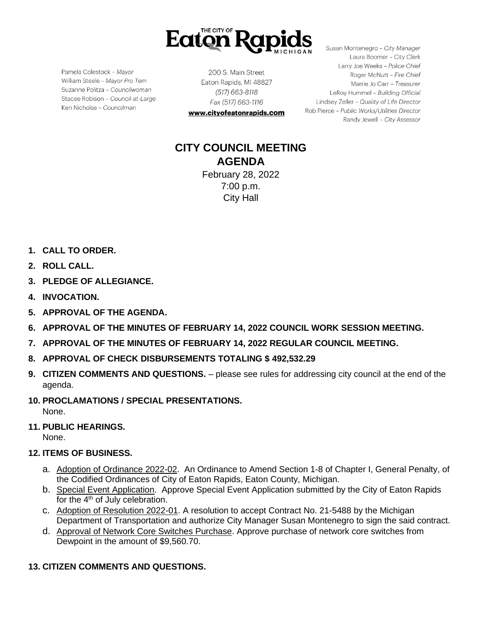

Pamela Colestock - Mayor William Steele - Mayor Pro Tem Suzanne Politza - Councilwoman Stacee Robison - Council-at-Large Ken Nicholas - Councilman

200 S. Main Street Eaton Rapids, MI 48827 (517) 663-8118 Fax (517) 663-1116

www.cityofeatonrapids.com

Susan Montenegro - City Manager Laura Boomer - City Clerk Larry Joe Weeks - Police Chief Roger McNutt - Fire Chief Marrie Jo Carr - Treasurer LeRoy Hummel - Building Official Lindsey Zeller - Quality of Life Director Rob Pierce - Public Works/Utilities Director Randy Jewell - City Assessor

# **CITY COUNCIL MEETING AGENDA** February 28, 2022

7:00 p.m. City Hall

- **1. CALL TO ORDER.**
- **2. ROLL CALL.**
- **3. PLEDGE OF ALLEGIANCE.**
- **4. INVOCATION.**
- **5. APPROVAL OF THE AGENDA.**
- **6. APPROVAL OF THE MINUTES OF FEBRUARY 14, 2022 COUNCIL WORK SESSION MEETING.**
- **7. APPROVAL OF THE MINUTES OF FEBRUARY 14, 2022 REGULAR COUNCIL MEETING.**
- **8. APPROVAL OF CHECK DISBURSEMENTS TOTALING \$ 492,532.29**
- **9. CITIZEN COMMENTS AND QUESTIONS.**  please see rules for addressing city council at the end of the agenda.
- **10. PROCLAMATIONS / SPECIAL PRESENTATIONS.** None.
- **11. PUBLIC HEARINGS.**

None.

- **12. ITEMS OF BUSINESS.**
	- a. Adoption of Ordinance 2022-02. An Ordinance to Amend Section 1-8 of Chapter I, General Penalty, of the Codified Ordinances of City of Eaton Rapids, Eaton County, Michigan.
	- b. Special Event Application. Approve Special Event Application submitted by the City of Eaton Rapids for the  $4<sup>th</sup>$  of July celebration.
	- c. Adoption of Resolution 2022-01. A resolution to accept Contract No. 21-5488 by the Michigan Department of Transportation and authorize City Manager Susan Montenegro to sign the said contract.
	- d. Approval of Network Core Switches Purchase. Approve purchase of network core switches from Dewpoint in the amount of \$9,560.70.

### **13. CITIZEN COMMENTS AND QUESTIONS.**